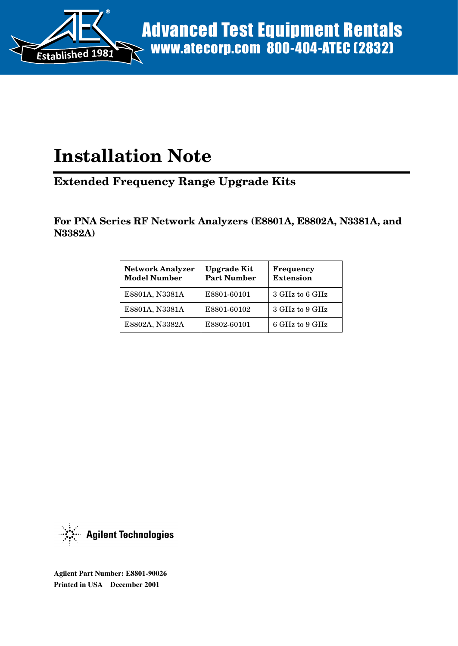

# **Installation Note**

**Extended Frequency Range Upgrade Kits**

**For PNA Series RF Network Analyzers (E8801A, E8802A, N3381A, and N3382A)**

| <b>Network Analyzer</b><br><b>Model Number</b> | <b>Upgrade Kit</b><br><b>Part Number</b> | Frequency<br><b>Extension</b> |
|------------------------------------------------|------------------------------------------|-------------------------------|
| E8801A, N3381A                                 | E8801-60101                              | 3 GHz to 6 GHz                |
| E8801A, N3381A                                 | E8801-60102                              | 3 GHz to 9 GHz                |
| E8802A, N3382A                                 | E8802-60101                              | 6 GHz to 9 GHz                |



**Agilent Part Number: E8801-90026 Printed in USA December 2001**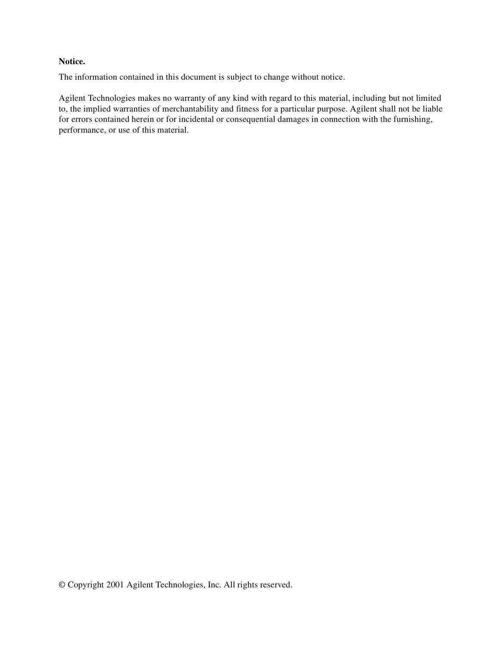#### **Notice.**

The information contained in this document is subject to change without notice.

Agilent Technologies makes no warranty of any kind with regard to this material, including but not limited to, the implied warranties of merchantability and fitness for a particular purpose. Agilent shall not be liable for errors contained herein or for incidental or consequential damages in connection with the furnishing, performance, or use of this material.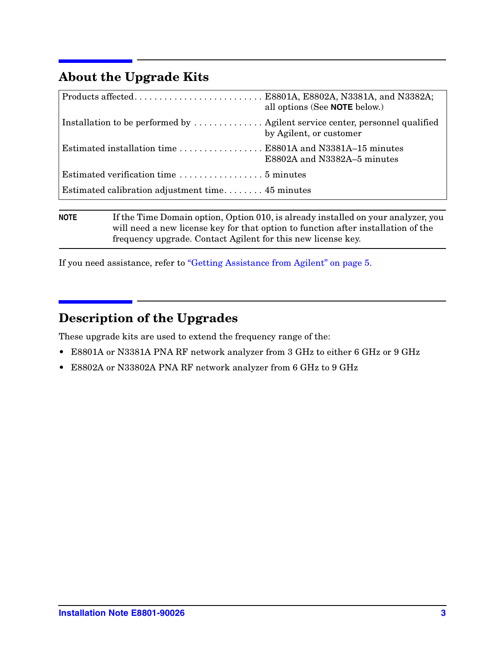# **About the Upgrade Kits**

| Installation to be performed by  Agilent service center, personnel qualified<br>by Agilent, or customer |
|---------------------------------------------------------------------------------------------------------|
|                                                                                                         |
| Estimated installation time  E8801A and N3381A-15 minutes<br>E8802A and N3382A-5 minutes                |
|                                                                                                         |
| Estimated calibration adjustment time $45$ minutes                                                      |

NOTE If the Time Domain option, Option 010, is already installed on your analyzer, you will need a new license key for that option to function after installation of the frequency upgrade. Contact Agilent for this new license key.

If you need assistance, refer to ["Getting Assistance from Agilent" on page 5.](#page-4-0)

# **Description of the Upgrades**

These upgrade kits are used to extend the frequency range of the:

- E8801A or N3381A PNA RF network analyzer from 3 GHz to either 6 GHz or 9 GHz
- E8802A or N33802A PNA RF network analyzer from 6 GHz to 9 GHz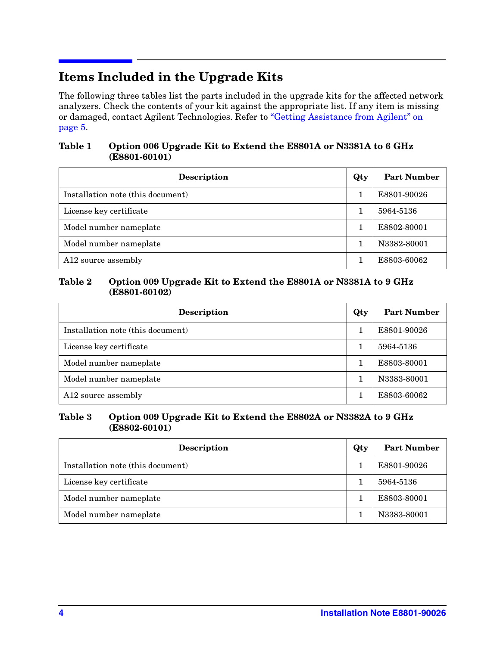# **Items Included in the Upgrade Kits**

The following three tables list the parts included in the upgrade kits for the affected network analyzers. Check the contents of your kit against the appropriate list. If any item is missing or damaged, contact Agilent Technologies. Refer to ["Getting Assistance from Agilent" on](#page-4-0) [page 5.](#page-4-0)

#### **Table 1 Option 006 Upgrade Kit to Extend the E8801A or N3381A to 6 GHz (E8801-60101)**

| <b>Description</b>                | Qty | <b>Part Number</b> |
|-----------------------------------|-----|--------------------|
| Installation note (this document) |     | E8801-90026        |
| License key certificate           |     | 5964-5136          |
| Model number nameplate            |     | E8802-80001        |
| Model number nameplate            |     | N3382-80001        |
| A12 source assembly               |     | E8803-60062        |

#### **Table 2 Option 009 Upgrade Kit to Extend the E8801A or N3381A to 9 GHz (E8801-60102)**

| <b>Description</b>                | Qty | <b>Part Number</b> |
|-----------------------------------|-----|--------------------|
| Installation note (this document) |     | E8801-90026        |
| License key certificate           |     | 5964-5136          |
| Model number nameplate            |     | E8803-80001        |
| Model number nameplate            |     | N3383-80001        |
| A12 source assembly               |     | E8803-60062        |

#### **Table 3 Option 009 Upgrade Kit to Extend the E8802A or N3382A to 9 GHz (E8802-60101)**

| <b>Description</b>                | Qty | <b>Part Number</b> |
|-----------------------------------|-----|--------------------|
| Installation note (this document) |     | E8801-90026        |
| License key certificate           |     | 5964-5136          |
| Model number nameplate            |     | E8803-80001        |
| Model number nameplate            |     | N3383-80001        |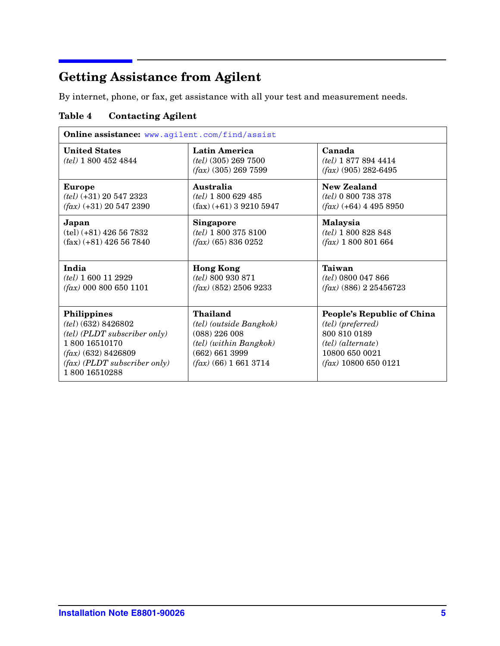# <span id="page-4-0"></span>**Getting Assistance from Agilent**

By internet, phone, or fax, get assistance with all your test and measurement needs.

## **Table 4 Contacting Agilent**

| Online assistance: www.agilent.com/find/assist                                                                                                                             |                                                                                                                                        |                                                                                                                                    |
|----------------------------------------------------------------------------------------------------------------------------------------------------------------------------|----------------------------------------------------------------------------------------------------------------------------------------|------------------------------------------------------------------------------------------------------------------------------------|
| <b>United States</b><br>$(tel)$ 1 800 452 4844                                                                                                                             | <b>Latin America</b><br>$(tel)$ (305) 269 7500<br>$(fax)$ (305) 269 7599                                                               | Canada<br>$(tel)$ 1 877 894 4414<br>$(fax)$ (905) 282-6495                                                                         |
| <b>Europe</b>                                                                                                                                                              | Australia                                                                                                                              | New Zealand                                                                                                                        |
| $(tel)$ (+31) 20 547 2323                                                                                                                                                  | $(tel)$ 1 800 629 485                                                                                                                  | $(tel)$ 0 800 738 378                                                                                                              |
| $(fax)$ (+31) 20 547 2390                                                                                                                                                  | $(fax)$ (+61) 3 9210 5947                                                                                                              | $(fax)$ (+64) 4 495 8950                                                                                                           |
| Japan                                                                                                                                                                      | <b>Singapore</b>                                                                                                                       | Malaysia                                                                                                                           |
| $(tel)$ (+81) 426 56 7832                                                                                                                                                  | $(tel)$ 1 800 375 8100                                                                                                                 | $(tel)$ 1 800 828 848                                                                                                              |
| $(fax)$ (+81) 426 56 7840                                                                                                                                                  | $(fax)$ (65) 836 0252                                                                                                                  | $(fax)$ 1 800 801 664                                                                                                              |
| India                                                                                                                                                                      | <b>Hong Kong</b>                                                                                                                       | Taiwan                                                                                                                             |
| $(tel)$ 1 600 11 2929                                                                                                                                                      | $(tel)$ 800 930 871                                                                                                                    | $(tel)$ 0800 047 866                                                                                                               |
| $(fax)$ 000 800 650 1101                                                                                                                                                   | $(fax)$ (852) 2506 9233                                                                                                                | $(fax)$ (886) 2 25456723                                                                                                           |
| <b>Philippines</b><br>$(tel)$ (632) 8426802<br>$(tel)$ (PLDT subscriber only)<br>1800 16510170<br>$(fax)$ (632) 8426809<br>$(fax)$ (PLDT subscriber only)<br>1800 16510288 | <b>Thailand</b><br>(tel) (outside Bangkok)<br>$(088)$ 226 008<br>$(tel)$ (within Bangkok)<br>(662) 661 3999<br>$(fax)$ (66) 1 661 3714 | People's Republic of China<br>(tel) (preferred)<br>800 810 0189<br>$(tel)$ (alternate)<br>10800 650 0021<br>$(fax)$ 10800 650 0121 |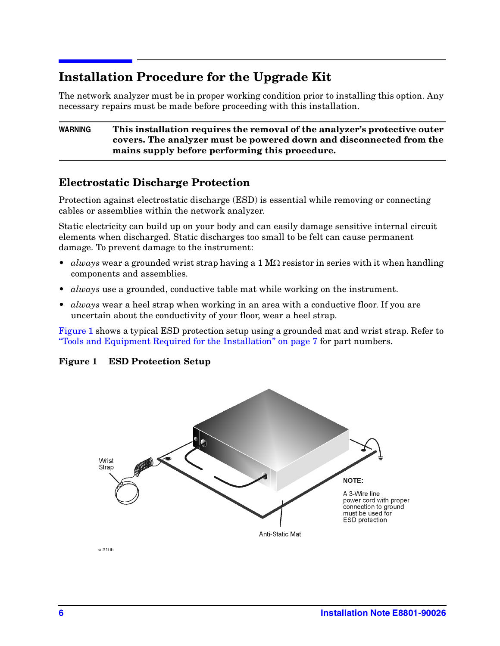# **Installation Procedure for the Upgrade Kit**

The network analyzer must be in proper working condition prior to installing this option. Any necessary repairs must be made before proceeding with this installation.

**WARNING This installation requires the removal of the analyzer's protective outer covers. The analyzer must be powered down and disconnected from the mains supply before performing this procedure.**

## **Electrostatic Discharge Protection**

Protection against electrostatic discharge (ESD) is essential while removing or connecting cables or assemblies within the network analyzer.

Static electricity can build up on your body and can easily damage sensitive internal circuit elements when discharged. Static discharges too small to be felt can cause permanent damage. To prevent damage to the instrument:

- *always* wear a grounded wrist strap having a  $1 M\Omega$  resistor in series with it when handling components and assemblies.
- *always* use a grounded, conductive table mat while working on the instrument.
- *always* wear a heel strap when working in an area with a conductive floor. If you are uncertain about the conductivity of your floor, wear a heel strap.

[Figure 1](#page-5-0) shows a typical ESD protection setup using a grounded mat and wrist strap. Refer to ["Tools and Equipment Required for the Installation" on page 7](#page-6-0) for part numbers.

#### <span id="page-5-0"></span>**Figure 1 ESD Protection Setup**



ku310b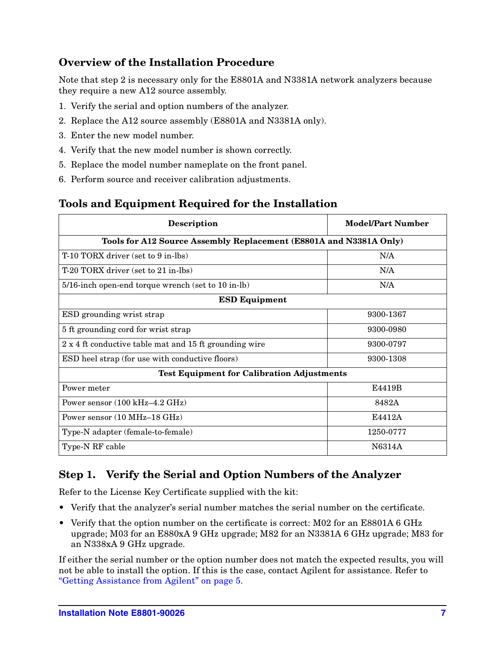# **Overview of the Installation Procedure**

Note that step 2 is necessary only for the E8801A and N3381A network analyzers because they require a new A12 source assembly.

- 1. Verify the serial and option numbers of the analyzer.
- 2. Replace the A12 source assembly (E8801A and N3381A only).
- 3. Enter the new model number.
- 4. Verify that the new model number is shown correctly.
- 5. Replace the model number nameplate on the front panel.
- 6. Perform source and receiver calibration adjustments.

## <span id="page-6-0"></span>**Tools and Equipment Required for the Installation**

| Description                                                        | <b>Model/Part Number</b> |  |
|--------------------------------------------------------------------|--------------------------|--|
| Tools for A12 Source Assembly Replacement (E8801A and N3381A Only) |                          |  |
| T-10 TORX driver (set to 9 in-lbs)                                 | N/A                      |  |
| T-20 TORX driver (set to 21 in-lbs)                                | N/A                      |  |
| 5/16-inch open-end torque wrench (set to 10 in-lb)                 | N/A                      |  |
| <b>ESD Equipment</b>                                               |                          |  |
| ESD grounding wrist strap                                          | 9300-1367                |  |
| 5 ft grounding cord for wrist strap                                | 9300-0980                |  |
| 2 x 4 ft conductive table mat and 15 ft grounding wire             | 9300-0797                |  |
| ESD heel strap (for use with conductive floors)                    | 9300-1308                |  |
| <b>Test Equipment for Calibration Adjustments</b>                  |                          |  |
| Power meter                                                        | E4419B                   |  |
| Power sensor $(100 \text{ kHz} - 4.2 \text{ GHz})$                 | 8482A                    |  |
| Power sensor (10 MHz-18 GHz)                                       | E4412A                   |  |
| Type-N adapter (female-to-female)                                  | 1250-0777                |  |
| Type-N RF cable                                                    | N6314A                   |  |

# **Step 1. Verify the Serial and Option Numbers of the Analyzer**

Refer to the License Key Certificate supplied with the kit:

- Verify that the analyzer's serial number matches the serial number on the certificate.
- Verify that the option number on the certificate is correct: M02 for an E8801A 6 GHz upgrade; M03 for an E880xA 9 GHz upgrade; M82 for an N3381A 6 GHz upgrade; M83 for an N338xA 9 GHz upgrade.

If either the serial number or the option number does not match the expected results, you will not be able to install the option. If this is the case, contact Agilent for assistance. Refer to ["Getting Assistance from Agilent" on page 5.](#page-4-0)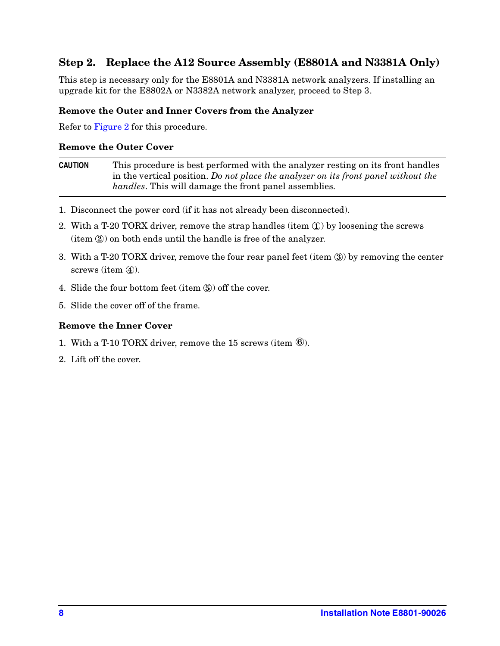# **Step 2. Replace the A12 Source Assembly (E8801A and N3381A Only)**

This step is necessary only for the E8801A and N3381A network analyzers. If installing an upgrade kit for the E8802A or N3382A network analyzer, proceed to Step 3.

#### **Remove the Outer and Inner Covers from the Analyzer**

Refer to [Figure 2](#page-8-0) for this procedure.

#### **Remove the Outer Cover**

**CAUTION** This procedure is best performed with the analyzer resting on its front handles in the vertical position. *Do not place the analyzer on its front panel without the handles*. This will damage the front panel assemblies.

- 1. Disconnect the power cord (if it has not already been disconnected).
- 2. With a T-20 TORX driver, remove the strap handles (item  $\circled{1}$ ) by loosening the screws (item  $(2)$ ) on both ends until the handle is free of the analyzer.
- 3. With a T-20 TORX driver, remove the four rear panel feet (item  $(3)$ ) by removing the center screws (item  $\left(4\right)$ ).
- 4. Slide the four bottom feet (item  $\mathfrak{F}$ ) off the cover.
- 5. Slide the cover off of the frame.

#### **Remove the Inner Cover**

- 1. With a T-10 TORX driver, remove the 15 screws (item  $\circled$ ).
- 2. Lift off the cover.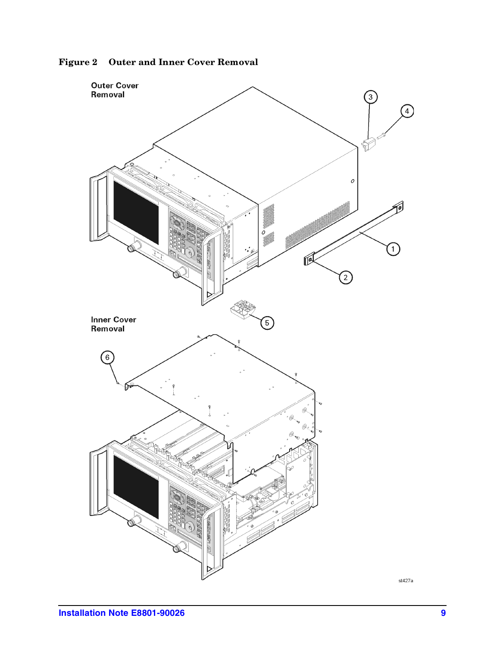<span id="page-8-0"></span>

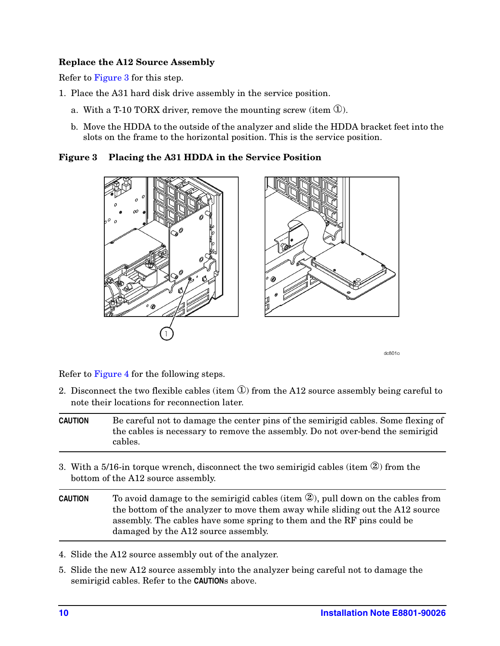#### **Replace the A12 Source Assembly**

Refer to [Figure 3](#page-9-0) for this step.

- 1. Place the A31 hard disk drive assembly in the service position.
	- a. With a T-10 TORX driver, remove the mounting screw (item  $\mathbb{D}$ ).
	- b. Move the HDDA to the outside of the analyzer and slide the HDDA bracket feet into the slots on the frame to the horizontal position. This is the service position.

<span id="page-9-0"></span>**Figure 3 Placing the A31 HDDA in the Service Position**



dc801o

Refer to [Figure 4](#page-10-0) for the following steps.

2. Disconnect the two flexible cables (item  $\mathcal{D}$ ) from the A12 source assembly being careful to note their locations for reconnection later.

| <b>CAUTION</b> | Be careful not to damage the center pins of the semirigid cables. Some flexing of<br>the cables is necessary to remove the assembly. Do not over-bend the semirigid<br>cables. |
|----------------|--------------------------------------------------------------------------------------------------------------------------------------------------------------------------------|
|                | 3. With a 5/16-in torque wrench, disconnect the two semirigid cables (item $(2)$ ) from the<br>bottom of the A12 source assembly.                                              |
| <b>CAUTION</b> | To avoid damage to the semirigid cables (item $(2)$ ), pull down on the cables from                                                                                            |

**CAUTION** To avoid damage to the semirigid cables (item 2), pull down on the cables from the bottom of the analyzer to move them away while sliding out the A12 source assembly. The cables have some spring to them and the RF pins could be damaged by the A12 source assembly.

- 4. Slide the A12 source assembly out of the analyzer.
- 5. Slide the new A12 source assembly into the analyzer being careful not to damage the semirigid cables. Refer to the **CAUTION**s above.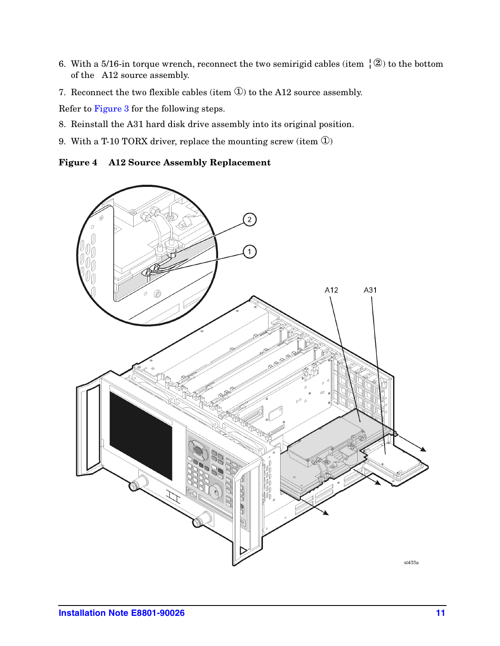- 6. With a 5/16-in torque wrench, reconnect the two semirigid cables (item  $\frac{1}{2}$ ) to the bottom of the A12 source assembly. of the A12 source assembly.
- 7. Reconnect the two flexible cables (item  $\textcircled{1}$ ) to the A12 source assembly.

Refer to [Figure 3](#page-9-0) for the following steps.

- 8. Reinstall the A31 hard disk drive assembly into its original position.
- 9. With a T-10 TORX driver, replace the mounting screw (item  $\textcircled{1}$ )

<span id="page-10-0"></span>**Figure 4 A12 Source Assembly Replacement**

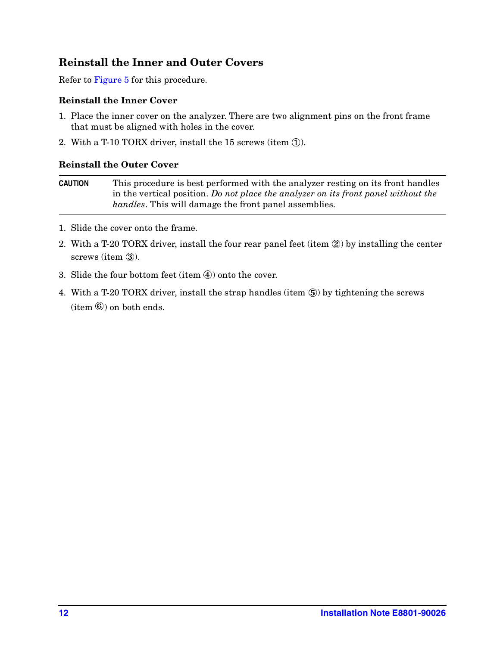# **Reinstall the Inner and Outer Covers**

Refer to [Figure 5](#page-12-0) for this procedure.

#### **Reinstall the Inner Cover**

- 1. Place the inner cover on the analyzer. There are two alignment pins on the front frame that must be aligned with holes in the cover.
- 2. With a T-10 TORX driver, install the 15 screws (item  $(1)$ ).

#### **Reinstall the Outer Cover**

**CAUTION** This procedure is best performed with the analyzer resting on its front handles in the vertical position. *Do not place the analyzer on its front panel without the handles*. This will damage the front panel assemblies.

- 1. Slide the cover onto the frame.
- 2. With a T-20 TORX driver, install the four rear panel feet (item  $\circled{2}$ ) by installing the center screws (item  $\circled{3}$ ) screws (item  $(3)$ ).
- 3. Slide the four bottom feet (item  $\widehat{A}$ ) onto the cover.
- 4. With a T-20 TORX driver, install the strap handles (item  $\circledS$ ) by tightening the screws  $(i$ tem  $\circled{6})$  on both ends.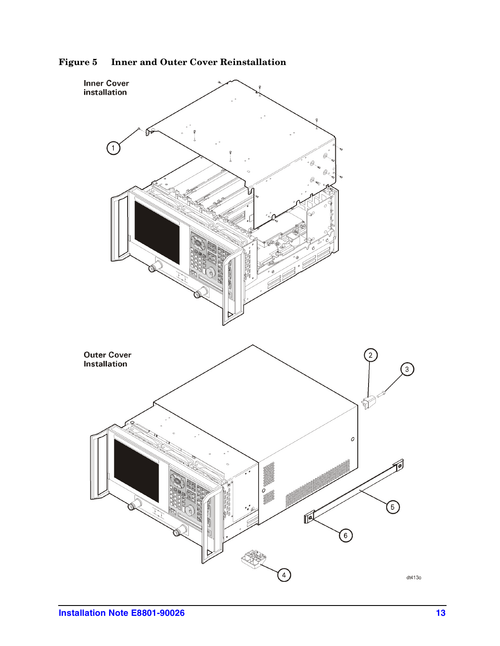

<span id="page-12-0"></span>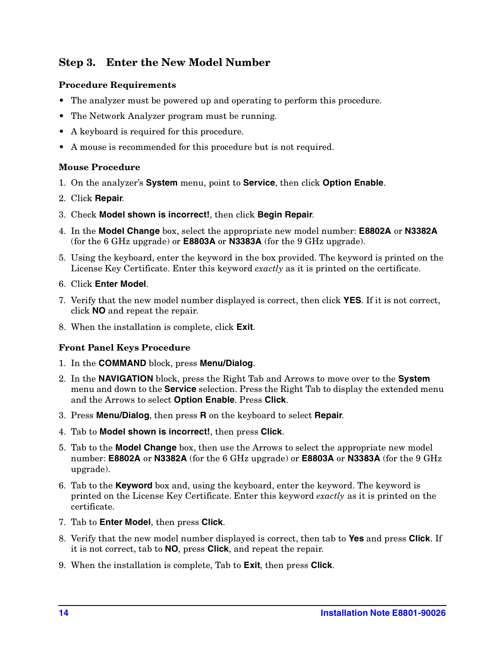# **Step 3. Enter the New Model Number**

#### **Procedure Requirements**

- The analyzer must be powered up and operating to perform this procedure.
- The Network Analyzer program must be running.
- A keyboard is required for this procedure.
- A mouse is recommended for this procedure but is not required.

#### **Mouse Procedure**

- 1. On the analyzer's **System** menu, point to **Service**, then click **Option Enable**.
- 2. Click **Repair**.
- 3. Check **Model shown is incorrect!**, then click **Begin Repair**.
- 4. In the **Model Change** box, select the appropriate new model number: **E8802A** or **N3382A** (for the 6 GHz upgrade) or **E8803A** or **N3383A** (for the 9 GHz upgrade).
- 5. Using the keyboard, enter the keyword in the box provided. The keyword is printed on the License Key Certificate. Enter this keyword *exactly* as it is printed on the certificate.
- 6. Click **Enter Model**.
- 7. Verify that the new model number displayed is correct, then click **YES**. If it is not correct, click **NO** and repeat the repair.
- 8. When the installation is complete, click **Exit**.

#### **Front Panel Keys Procedure**

- 1. In the **COMMAND** block, press **Menu/Dialog**.
- 2. In the **NAVIGATION** block, press the Right Tab and Arrows to move over to the **System** menu and down to the **Service** selection. Press the Right Tab to display the extended menu and the Arrows to select **Option Enable**. Press **Click**.
- 3. Press **Menu/Dialog**, then press **R** on the keyboard to select **Repair**.
- 4. Tab to **Model shown is incorrect!**, then press **Click**.
- 5. Tab to the **Model Change** box, then use the Arrows to select the appropriate new model number: **E8802A** or **N3382A** (for the 6 GHz upgrade) or **E8803A** or **N3383A** (for the 9 GHz upgrade).
- 6. Tab to the **Keyword** box and, using the keyboard, enter the keyword. The keyword is printed on the License Key Certificate. Enter this keyword *exactly* as it is printed on the certificate.
- 7. Tab to **Enter Model**, then press **Click**.
- 8. Verify that the new model number displayed is correct, then tab to **Yes** and press **Click**. If it is not correct, tab to **NO**, press **Click**, and repeat the repair.
- 9. When the installation is complete, Tab to **Exit**, then press **Click**.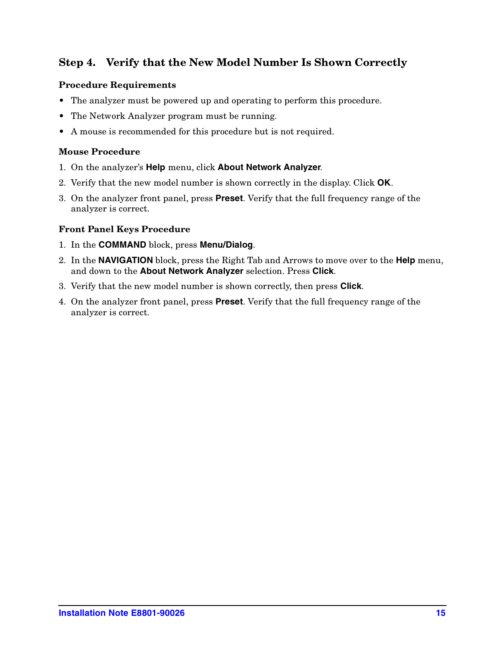# **Step 4. Verify that the New Model Number Is Shown Correctly**

#### **Procedure Requirements**

- The analyzer must be powered up and operating to perform this procedure.
- The Network Analyzer program must be running.
- A mouse is recommended for this procedure but is not required.

#### **Mouse Procedure**

- 1. On the analyzer's **Help** menu, click **About Network Analyzer**.
- 2. Verify that the new model number is shown correctly in the display. Click **OK**.
- 3. On the analyzer front panel, press **Preset**. Verify that the full frequency range of the analyzer is correct.

#### **Front Panel Keys Procedure**

- 1. In the **COMMAND** block, press **Menu/Dialog**.
- 2. In the **NAVIGATION** block, press the Right Tab and Arrows to move over to the **Help** menu, and down to the **About Network Analyzer** selection. Press **Click**.
- 3. Verify that the new model number is shown correctly, then press **Click**.
- 4. On the analyzer front panel, press **Preset**. Verify that the full frequency range of the analyzer is correct.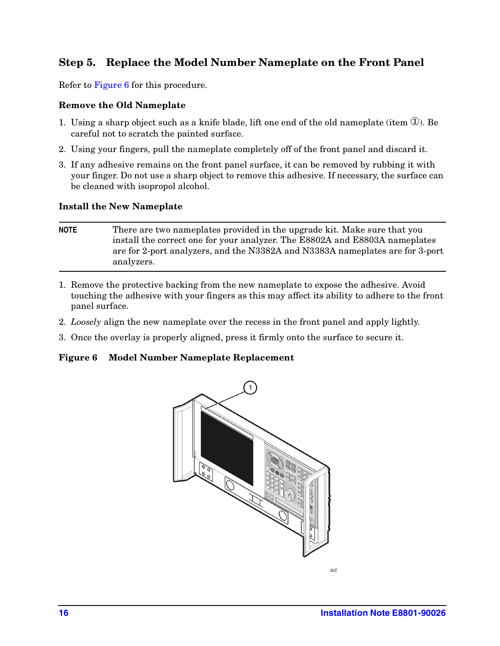## **Step 5. Replace the Model Number Nameplate on the Front Panel**

Refer to [Figure 6](#page-15-0) for this procedure.

#### **Remove the Old Nameplate**

- 1. Using a sharp object such as a knife blade, lift one end of the old nameplate (item  $(1)$ ). Be careful not to scratch the painted surface.
- 2. Using your fingers, pull the nameplate completely off of the front panel and discard it.
- 3. If any adhesive remains on the front panel surface, it can be removed by rubbing it with your finger. Do not use a sharp object to remove this adhesive. If necessary, the surface can be cleaned with isopropol alcohol.

#### **Install the New Nameplate**

- **NOTE** There are two nameplates provided in the upgrade kit. Make sure that you install the correct one for your analyzer. The E8802A and E8803A nameplates are for 2-port analyzers, and the N3382A and N3383A nameplates are for 3-port analyzers.
- 1. Remove the protective backing from the new nameplate to expose the adhesive. Avoid touching the adhesive with your fingers as this may affect its ability to adhere to the front panel surface.
- 2. *Loosely* align the new nameplate over the recess in the front panel and apply lightly.
- 3. Once the overlay is properly aligned, press it firmly onto the surface to secure it.

<span id="page-15-0"></span>**Figure 6 Model Number Nameplate Replacement**

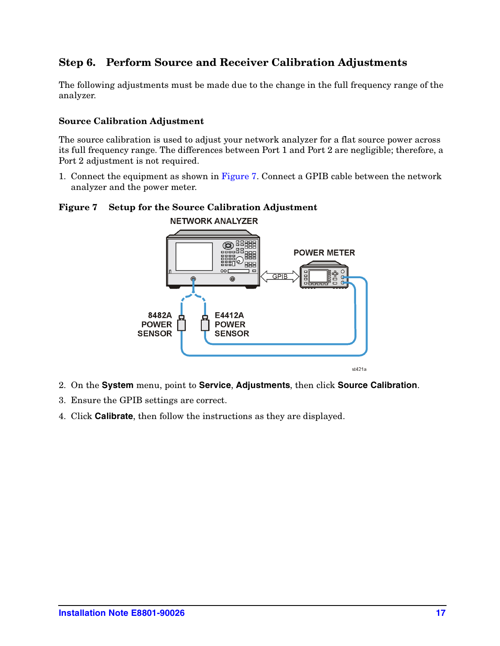# **Step 6. Perform Source and Receiver Calibration Adjustments**

The following adjustments must be made due to the change in the full frequency range of the analyzer.

#### **Source Calibration Adjustment**

The source calibration is used to adjust your network analyzer for a flat source power across its full frequency range. The differences between Port 1 and Port 2 are negligible; therefore, a Port 2 adjustment is not required.

1. Connect the equipment as shown in [Figure 7](#page-16-0). Connect a GPIB cable between the network analyzer and the power meter.

#### <span id="page-16-0"></span>**Figure 7 Setup for the Source Calibration Adjustment**



- 2. On the **System** menu, point to **Service**, **Adjustments**, then click **Source Calibration**.
- 3. Ensure the GPIB settings are correct.
- 4. Click **Calibrate**, then follow the instructions as they are displayed.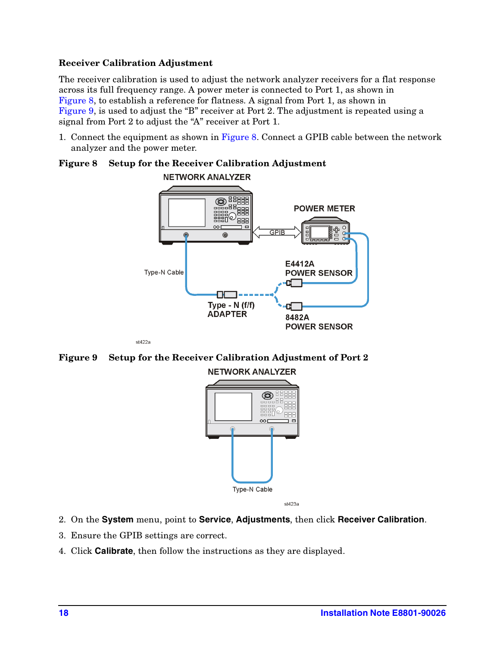#### **Receiver Calibration Adjustment**

The receiver calibration is used to adjust the network analyzer receivers for a flat response across its full frequency range. A power meter is connected to Port 1, as shown in [Figure 8,](#page-17-0) to establish a reference for flatness. A signal from Port 1, as shown in [Figure 9,](#page-17-1) is used to adjust the "B" receiver at Port 2. The adjustment is repeated using a signal from Port 2 to adjust the "A" receiver at Port 1.

1. Connect the equipment as shown in [Figure 8](#page-17-0). Connect a GPIB cable between the network analyzer and the power meter.



#### <span id="page-17-0"></span>**Figure 8 Setup for the Receiver Calibration Adjustment**

<span id="page-17-1"></span>



- 2. On the **System** menu, point to **Service**, **Adjustments**, then click **Receiver Calibration**.
- 3. Ensure the GPIB settings are correct.
- 4. Click **Calibrate**, then follow the instructions as they are displayed.